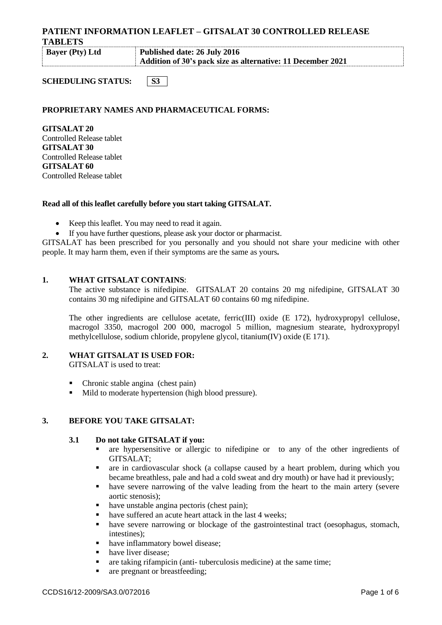**TABLETS**

**Bayer (Pty) Ltd Published date: 26 July 2016 Addition of 30's pack size as alternative: 11 December 2021**

**SCHEDULING STATUS:** 53

# **PROPRIETARY NAMES AND PHARMACEUTICAL FORMS:**

**GITSALAT 20** Controlled Release tablet **GITSALAT 30** Controlled Release tablet **GITSALAT 60** Controlled Release tablet

## **Read all of this leaflet carefully before you start taking GITSALAT.**

- Keep this leaflet. You may need to read it again.
- If you have further questions, please ask your doctor or pharmacist.

GITSALAT has been prescribed for you personally and you should not share your medicine with other people. It may harm them, even if their symptoms are the same as yours*.*

## **1. WHAT GITSALAT CONTAINS**:

The active substance is nifedipine. GITSALAT 20 contains 20 mg nifedipine, GITSALAT 30 contains 30 mg nifedipine and GITSALAT 60 contains 60 mg nifedipine.

The other ingredients are cellulose acetate, ferric(III) oxide (E 172), hydroxypropyl cellulose, macrogol 3350, macrogol 200 000, macrogol 5 million, magnesium stearate, hydroxypropyl methylcellulose, sodium chloride, propylene glycol, titanium(IV) oxide (E 171).

## **2. WHAT GITSALAT IS USED FOR:**

GITSALAT is used to treat:

- Chronic stable angina (chest pain)
- Mild to moderate hypertension (high blood pressure).

## **3. BEFORE YOU TAKE GITSALAT:**

## **3.1 Do not take GITSALAT if you:**

- are hypersensitive or allergic to nifedipine or to any of the other ingredients of GITSALAT;
- are in cardiovascular shock (a collapse caused by a heart problem, during which you became breathless, pale and had a cold sweat and dry mouth) or have had it previously;
- have severe narrowing of the valve leading from the heart to the main artery (severe aortic stenosis);
- have unstable angina pectoris (chest pain);
- have suffered an acute heart attack in the last 4 weeks;
- have severe narrowing or blockage of the gastrointestinal tract (oesophagus, stomach, intestines).
- have inflammatory bowel disease;
- have liver disease:
- are taking rifampicin (anti- tuberculosis medicine) at the same time;
- are pregnant or breastfeeding: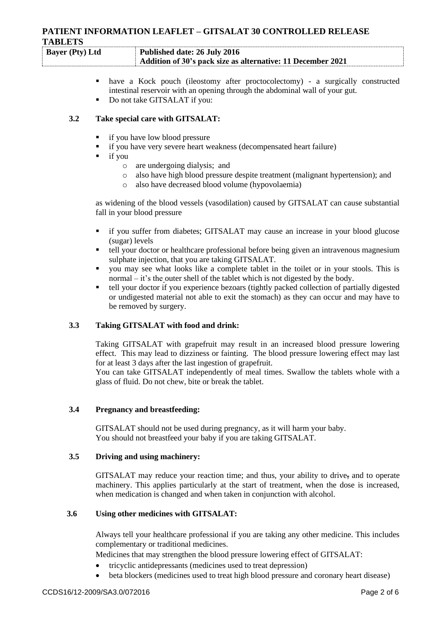| <b>Bayer</b> (Pty) Ltd | Published date: 26 July 2016                                |
|------------------------|-------------------------------------------------------------|
|                        | Addition of 30's pack size as alternative: 11 December 2021 |

- have a Kock pouch (ileostomy after proctocolectomy) a surgically constructed intestinal reservoir with an opening through the abdominal wall of your gut.
- Do not take GITSALAT if you:

## **3.2 Take special care with GITSALAT:**

- if you have low blood pressure
- if you have very severe heart weakness (decompensated heart failure)
- $\blacksquare$  if you
	- o are undergoing dialysis; and
	- o also have high blood pressure despite treatment (malignant hypertension); and
	- o also have decreased blood volume (hypovolaemia)

as widening of the blood vessels (vasodilation) caused by GITSALAT can cause substantial fall in your blood pressure

- if you suffer from diabetes; GITSALAT may cause an increase in your blood glucose (sugar) levels
- tell your doctor or healthcare professional before being given an intravenous magnesium sulphate injection, that you are taking GITSALAT.
- you may see what looks like a complete tablet in the toilet or in your stools. This is normal – it's the outer shell of the tablet which is not digested by the body.
- tell your doctor if you experience bezoars (tightly packed collection of partially digested or undigested material not able to exit the stomach) as they can occur and may have to be removed by surgery.

## **3.3 Taking GITSALAT with food and drink:**

Taking GITSALAT with grapefruit may result in an increased blood pressure lowering effect. This may lead to dizziness or fainting. The blood pressure lowering effect may last for at least 3 days after the last ingestion of grapefruit.

You can take GITSALAT independently of meal times. Swallow the tablets whole with a glass of fluid. Do not chew, bite or break the tablet.

#### **3.4 Pregnancy and breastfeeding:**

GITSALAT should not be used during pregnancy, as it will harm your baby. You should not breastfeed your baby if you are taking GITSALAT.

#### **3.5 Driving and using machinery:**

GITSALAT may reduce your reaction time; and thus, your ability to drive, and to operate machinery. This applies particularly at the start of treatment, when the dose is increased, when medication is changed and when taken in conjunction with alcohol.

## **3.6 Using other medicines with GITSALAT:**

Always tell your healthcare professional if you are taking any other medicine. This includes complementary or traditional medicines.

Medicines that may strengthen the blood pressure lowering effect of GITSALAT:

- tricyclic antidepressants (medicines used to treat depression)
- beta blockers (medicines used to treat high blood pressure and coronary heart disease)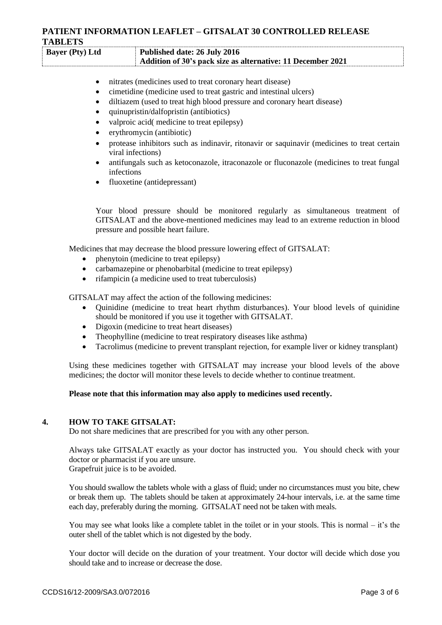| <b>Bayer</b> (Pty) Ltd | Published date: 26 July 2016                                |
|------------------------|-------------------------------------------------------------|
|                        | Addition of 30's pack size as alternative: 11 December 2021 |

- nitrates (medicines used to treat coronary heart disease)
- cimetidine (medicine used to treat gastric and intestinal ulcers)
- diltiazem (used to treat high blood pressure and coronary heart disease)
- quinupristin/dalfopristin (antibiotics)
- valproic acid( medicine to treat epilepsy)
- erythromycin (antibiotic)
- protease inhibitors such as indinavir, ritonavir or saquinavir (medicines to treat certain viral infections)
- antifungals such as ketoconazole, itraconazole or fluconazole (medicines to treat fungal infections
- fluoxetine (antidepressant)

Your blood pressure should be monitored regularly as simultaneous treatment of GITSALAT and the above-mentioned medicines may lead to an extreme reduction in blood pressure and possible heart failure.

Medicines that may decrease the blood pressure lowering effect of GITSALAT:

- phenytoin (medicine to treat epilepsy)
- carbamazepine or phenobarbital (medicine to treat epilepsy)
- rifampicin (a medicine used to treat tuberculosis)

GITSALAT may affect the action of the following medicines:

- Quinidine (medicine to treat heart rhythm disturbances). Your blood levels of quinidine should be monitored if you use it together with GITSALAT.
- Digoxin (medicine to treat heart diseases)
- Theophylline (medicine to treat respiratory diseases like asthma)
- Tacrolimus (medicine to prevent transplant rejection, for example liver or kidney transplant)

Using these medicines together with GITSALAT may increase your blood levels of the above medicines; the doctor will monitor these levels to decide whether to continue treatment.

#### **Please note that this information may also apply to medicines used recently.**

#### **4. HOW TO TAKE GITSALAT:**

Do not share medicines that are prescribed for you with any other person.

Always take GITSALAT exactly as your doctor has instructed you. You should check with your doctor or pharmacist if you are unsure. Grapefruit juice is to be avoided.

You should swallow the tablets whole with a glass of fluid; under no circumstances must you bite, chew or break them up. The tablets should be taken at approximately 24-hour intervals, i.e. at the same time each day, preferably during the morning. GITSALAT need not be taken with meals.

You may see what looks like a complete tablet in the toilet or in your stools. This is normal – it's the outer shell of the tablet which is not digested by the body.

Your doctor will decide on the duration of your treatment. Your doctor will decide which dose you should take and to increase or decrease the dose.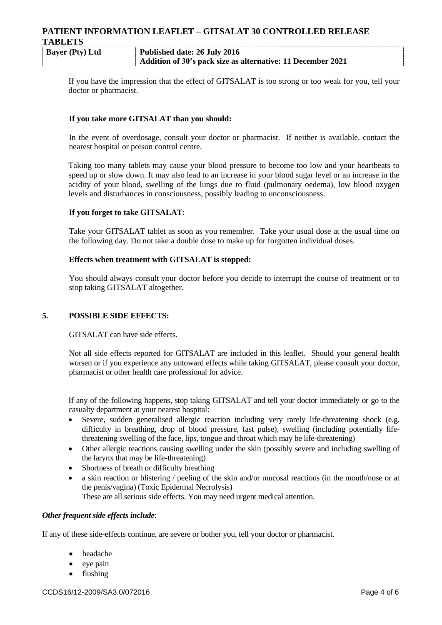| <b>Bayer</b> (Pty) Ltd | Published date: 26 July 2016                                |
|------------------------|-------------------------------------------------------------|
|                        | Addition of 30's pack size as alternative: 11 December 2021 |

If you have the impression that the effect of GITSALAT is too strong or too weak for you, tell your doctor or pharmacist.

#### **If you take more GITSALAT than you should:**

In the event of overdosage, consult your doctor or pharmacist. If neither is available, contact the nearest hospital or poison control centre.

Taking too many tablets may cause your blood pressure to become too low and your heartbeats to speed up or slow down. It may also lead to an increase in your blood sugar level or an increase in the acidity of your blood, swelling of the lungs due to fluid (pulmonary oedema), low blood oxygen levels and disturbances in consciousness, possibly leading to unconsciousness.

#### **If you forget to take GITSALAT**:

Take your GITSALAT tablet as soon as you remember. Take your usual dose at the usual time on the following day. Do not take a double dose to make up for forgotten individual doses.

## **Effects when treatment with GITSALAT is stopped:**

You should always consult your doctor before you decide to interrupt the course of treatment or to stop taking GITSALAT altogether.

#### **5. POSSIBLE SIDE EFFECTS:**

GITSALAT can have side effects.

Not all side effects reported for GITSALAT are included in this leaflet. Should your general health worsen or if you experience any untoward effects while taking GITSALAT, please consult your doctor, pharmacist or other health care professional for advice.

If any of the following happens, stop taking GITSALAT and tell your doctor immediately or go to the casualty department at your nearest hospital:

- Severe, sudden generalised allergic reaction including very rarely life-threatening shock (e.g. difficulty in breathing, drop of blood pressure, fast pulse), swelling (including potentially lifethreatening swelling of the face, lips, tongue and throat which may be life-threatening)
- Other allergic reactions causing swelling under the skin (possibly severe and including swelling of the larynx that may be life-threatening)
- Shortness of breath or difficulty breathing
- a skin reaction or blistering / peeling of the skin and/or mucosal reactions (in the mouth/nose or at the penis/vagina) (Toxic Epidermal Necrolysis) These are all serious side effects. You may need urgent medical attention.

#### *Other frequent side effects include*:

If any of these side-effects continue, are severe or bother you, tell your doctor or pharmacist.

- headache
- eye pain
- flushing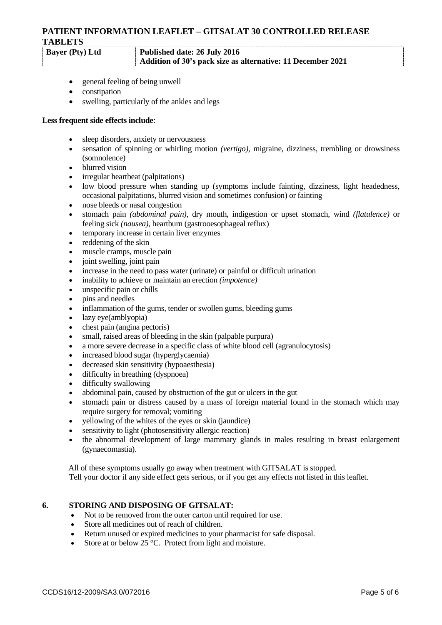## **Bayer (Pty) Ltd Published date: 26 July 2016 Addition of 30's pack size as alternative: 11 December 2021**

- general feeling of being unwell
- constipation
- swelling, particularly of the ankles and legs

#### **Less frequent side effects include**:

- sleep disorders, anxiety or nervousness
- sensation of spinning or whirling motion *(vertigo),* migraine*,* dizziness, trembling or drowsiness (somnolence)
- blurred vision
- irregular heartbeat (palpitations)
- low blood pressure when standing up (symptoms include fainting, dizziness, light headedness, occasional palpitations, blurred vision and sometimes confusion) or fainting
- nose bleeds or nasal congestion
- stomach pain *(abdominal pain),* dry mouth, indigestion or upset stomach, wind *(flatulence)* or feeling sick *(nausea),* heartburn (gastrooesophageal reflux)
- temporary increase in certain liver enzymes
- reddening of the skin
- muscle cramps, muscle pain
- joint swelling, joint pain
- increase in the need to pass water (urinate) or painful or difficult urination
- inability to achieve or maintain an erection *(impotence)*
- unspecific pain or chills
- pins and needles
- inflammation of the gums, tender or swollen gums, bleeding gums
- lazy eye(amblyopia)
- chest pain (angina pectoris)
- small, raised areas of bleeding in the skin (palpable purpura)
- a more severe decrease in a specific class of white blood cell (agranulocytosis)
- increased blood sugar (hyperglycaemia)
- decreased skin sensitivity (hypoaesthesia)
- difficulty in breathing (dyspnoea)
- difficulty swallowing
- abdominal pain, caused by obstruction of the gut or ulcers in the gut
- stomach pain or distress caused by a mass of foreign material found in the stomach which may require surgery for removal; vomiting
- yellowing of the whites of the eyes or skin (jaundice)
- sensitivity to light (photosensitivity allergic reaction)
- the abnormal development of large mammary glands in males resulting in breast enlargement (gynaecomastia).

All of these symptoms usually go away when treatment with GITSALAT is stopped. Tell your doctor if any side effect gets serious, or if you get any effects not listed in this leaflet.

## **6. STORING AND DISPOSING OF GITSALAT:**

- Not to be removed from the outer carton until required for use.
- Store all medicines out of reach of children.
- Return unused or expired medicines to your pharmacist for safe disposal.
- Store at or below  $25^{\circ}$ C. Protect from light and moisture.